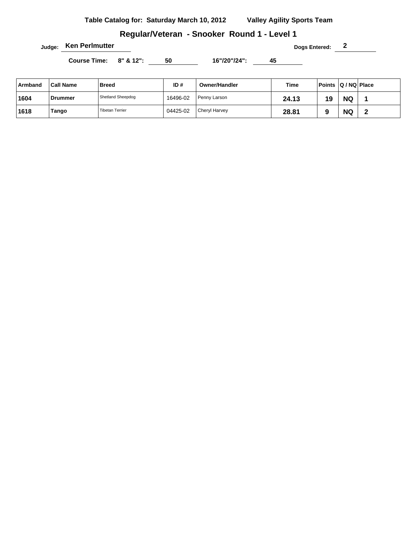# **Regular/Veteran - Snooker Round 1 - Level 1**

**Judge:** Ken Perlmutter **Dogs Entered:** 2

| Armband | <b>Call Name</b> | <b>Breed</b>           | ID#      | Owner/Handler | Time  | Points Q/NQ Place |           |   |
|---------|------------------|------------------------|----------|---------------|-------|-------------------|-----------|---|
| 1604    | Drummer          | Shetland Sheepdog      | 16496-02 | Penny Larson  | 24.13 | 19                | <b>NQ</b> |   |
| 1618    | Tango            | <b>Tibetan Terrier</b> | 04425-02 | Cheryl Harvey | 28.81 |                   | <b>NQ</b> | - |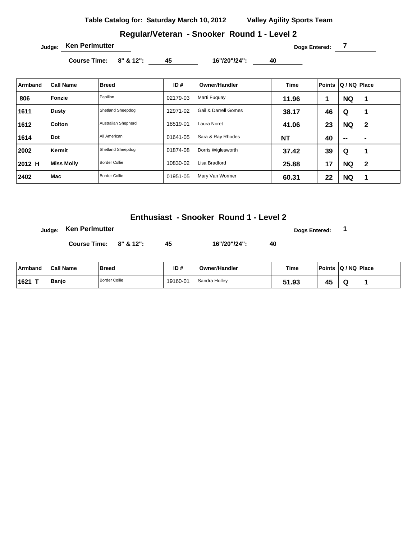**Table Catalog for: Saturday March 10, 2012 Valley Agility Sports Team**

#### **Regular/Veteran - Snooker Round 1 - Level 2**

**Judge: Ken Perlmutter COVID-100 Dogs Entered: 7** 

**Course Time: 8" & 12": 45 16"/20"/24": 40** 

| Armband | <b>Call Name</b>  | <b>Breed</b>         | ID#      | <b>Owner/Handler</b> | Time      | <b>Points</b> | Q / NQ   Place |                |
|---------|-------------------|----------------------|----------|----------------------|-----------|---------------|----------------|----------------|
| 806     | Fonzie            | Papillon             | 02179-03 | Marti Fuguay         | 11.96     | 1             | <b>NQ</b>      |                |
| 1611    | Dusty             | Shetland Sheepdog    | 12971-02 | Gail & Darrell Gomes | 38.17     | 46            | Q              |                |
| 1612    | Colton            | Australian Shepherd  | 18519-01 | Laura Noret          | 41.06     | 23            | <b>NQ</b>      | $\mathbf{2}$   |
| 1614    | Dot               | All American         | 01641-05 | Sara & Ray Rhodes    | <b>NT</b> | 40            | $\sim$         | $\blacksquare$ |
| 2002    | Kermit            | Shetland Sheepdog    | 01874-08 | Dorris Wiglesworth   | 37.42     | 39            | Q              |                |
| 2012 H  | <b>Miss Molly</b> | <b>Border Collie</b> | 10830-02 | Lisa Bradford        | 25.88     | 17            | <b>NQ</b>      | $\mathbf{2}$   |
| 2402    | Mac               | <b>Border Collie</b> | 01951-05 | Mary Van Wormer      | 60.31     | 22            | <b>NQ</b>      |                |

**Enthusiast - Snooker Round 1 - Level 2**

**Judge:** Ken Perlmutter **Dogs Entered:** 1

| ∣ Armband | <b>Call Name</b> | <b>Breed</b>  | ID#      | <b>Owner/Handler</b> | Time         | Points Q / NQ Place |  |
|-----------|------------------|---------------|----------|----------------------|--------------|---------------------|--|
| ⊺1621     | Banjo            | Border Collie | 19160-01 | Sandra Holley        | C 4<br>51.93 | . .<br>45           |  |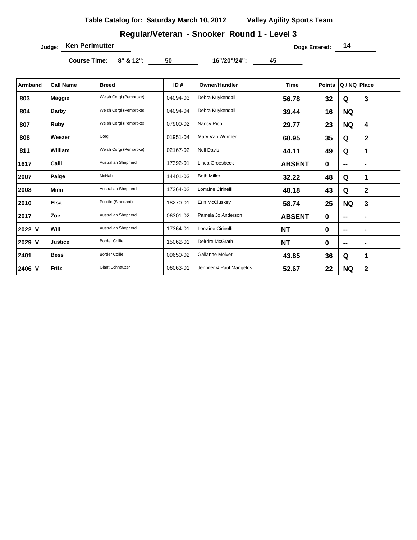# **Regular/Veteran - Snooker Round 1 - Level 3**

**Judge:** Ken Perlmutter **Dogs Entered:** 14

| <b>Armband</b> | <b>Call Name</b> | <b>Breed</b>               | ID#      | Owner/Handler            | <b>Time</b>   | <b>Points</b> | Q / NQ   Place    |                |
|----------------|------------------|----------------------------|----------|--------------------------|---------------|---------------|-------------------|----------------|
| 803            | <b>Maggie</b>    | Welsh Corgi (Pembroke)     | 04094-03 | Debra Kuykendall         | 56.78         | 32            | Q                 | 3              |
| 804            | Darby            | Welsh Corgi (Pembroke)     | 04094-04 | Debra Kuykendall         | 39.44         | 16            | <b>NQ</b>         |                |
| 807            | Ruby             | Welsh Corgi (Pembroke)     | 07900-02 | Nancy Rico               | 29.77         | 23            | <b>NQ</b>         | 4              |
| 808            | Weezer           | Corgi                      | 01951-04 | Mary Van Wormer          | 60.95         | 35            | Q                 | $\mathbf 2$    |
| 811            | William          | Welsh Corgi (Pembroke)     | 02167-02 | <b>Nell Davis</b>        | 44.11         | 49            | Q                 | 1              |
| 1617           | Calli            | <b>Australian Shepherd</b> | 17392-01 | Linda Groesbeck          | <b>ABSENT</b> | 0             | $-$               | $\blacksquare$ |
| 2007           | Paige            | McNab                      | 14401-03 | <b>Beth Miller</b>       | 32.22         | 48            | Q                 | 1              |
| 2008           | Mimi             | <b>Australian Shepherd</b> | 17364-02 | Lorraine Cirinelli       | 48.18         | 43            | Q                 | 2              |
| 2010           | <b>Elsa</b>      | Poodle (Standard)          | 18270-01 | Erin McCluskey           | 58.74         | 25            | <b>NQ</b>         | 3              |
| 2017           | Zoe              | <b>Australian Shepherd</b> | 06301-02 | Pamela Jo Anderson       | <b>ABSENT</b> | 0             | $-$               | $\blacksquare$ |
| 2022 V         | Will             | Australian Shepherd        | 17364-01 | Lorraine Cirinelli       | <b>NT</b>     | 0             | $\hspace{0.05cm}$ | $\blacksquare$ |
| 2029 V         | <b>Justice</b>   | <b>Border Collie</b>       | 15062-01 | Deirdre McGrath          | <b>NT</b>     | 0             | $\sim$            | $\blacksquare$ |
| 2401           | <b>Bess</b>      | <b>Border Collie</b>       | 09650-02 | Gailanne Molver          | 43.85         | 36            | Q                 | 1              |
| 2406 V         | Fritz            | <b>Giant Schnauzer</b>     | 06063-01 | Jennifer & Paul Mangelos | 52.67         | 22            | <b>NQ</b>         | 2              |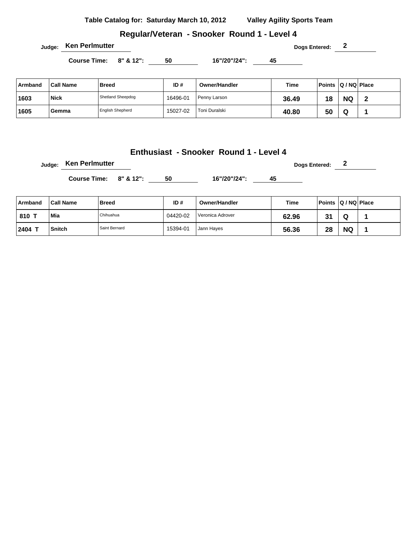**Table Catalog for: Saturday March 10, 2012 Valley Agility Sports Team**

**Regular/Veteran - Snooker Round 1 - Level 4**

**Course Time: 8" & 12": 50 16"/20"/24": 45** 

| Armband | <b>Call Name</b> | <b>Breed</b>            | ID#      | Owner/Handler | Time  | Points Q / NQ Place |           |   |
|---------|------------------|-------------------------|----------|---------------|-------|---------------------|-----------|---|
| 1603    | <b>Nick</b>      | Shetland Sheepdog       | 16496-01 | Penny Larson  | 36.49 | 18                  | <b>NQ</b> | ◠ |
| 1605    | Gemma            | <b>English Shepherd</b> | 15027-02 | Toni Duralski | 40.80 | 50                  | w         |   |

## **Enthusiast - Snooker Round 1 - Level 4**

**Judge: Ken Perlmutter Dogs Entered: 2** 

Course Time: 8" & 12": 50 16"/20"/24": 45

| Armband | <b>Call Name</b> | <b>Breed</b>  | ID#      | <b>Owner/Handler</b> | Time  | <b>Points</b> | $ Q/NQ $ Place |  |
|---------|------------------|---------------|----------|----------------------|-------|---------------|----------------|--|
| 810 1   | Mia              | Chihuahua     | 04420-02 | Veronica Adrover     | 62.96 | -21<br>ا ت    | w              |  |
| 2404    | <b>Snitch</b>    | Saint Bernard | 15394-01 | Jann Hayes           | 56.36 | 28            | <b>NQ</b>      |  |

**Judge: Ken Perlmutter Dogs Entered: 2**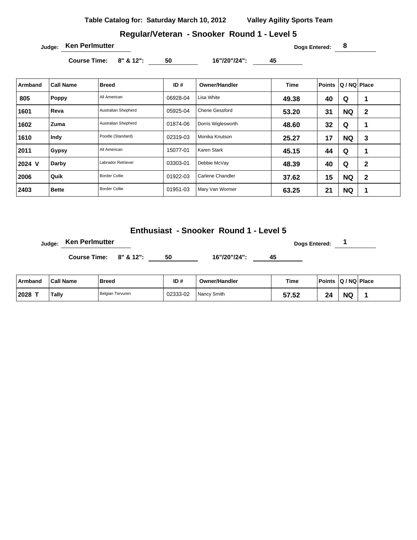**Table Catalog for: Saturday March 10, 2012 Valley Agility Sports Team**

#### **Regular/Veteran - Snooker Round 1 - Level 5**

**Judge: Ken Perlmutter 8** 

**Course Time: 8" & 12": 50 16"/20"/24": 45** 

| Armband | <b>Call Name</b> | <b>Breed</b>         | ID#      | <b>Owner/Handler</b>   | <b>Time</b> | <b>Points</b> | Q / NQ Place |   |
|---------|------------------|----------------------|----------|------------------------|-------------|---------------|--------------|---|
| 805     | Poppy            | All American         | 06928-04 | Lisa White             | 49.38       | 40            | Q            |   |
| 1601    | Reva             | Australian Shepherd  | 05925-04 | <b>Cherie Gessford</b> | 53.20       | 31            | <b>NQ</b>    | 2 |
| 1602    | Zuma             | Australian Shepherd  | 01874-06 | Dorris Wiglesworth     | 48.60       | 32            | Q            |   |
| 1610    | Indy             | Poodle (Standard)    | 02319-03 | Monika Knutson         | 25.27       | 17            | <b>NQ</b>    | 3 |
| 2011    | Gypsy            | All American         | 15077-01 | Karen Stark            | 45.15       | 44            | Q            |   |
| 2024 V  | Darby            | Labrador Retriever   | 03303-01 | Debbie McVay           | 48.39       | 40            | Q            | 2 |
| 2006    | Quik             | <b>Border Collie</b> | 01922-03 | Carlene Chandler       | 37.62       | 15            | <b>NQ</b>    | 2 |
| 2403    | <b>Bette</b>     | <b>Border Collie</b> | 01951-03 | Mary Van Wormer        | 63.25       | 21            | <b>NQ</b>    | 1 |

# **Enthusiast - Snooker Round 1 - Level 5**

**Judge: Ken Perlmutter Constant Constant Constant Constant Constant Constant Constant Constant Constant Constant Constant Constant Constant Constant Constant Constant Constant Constant Constant Constant Constant Consta** 

| ⊺Armband | <sup>∖</sup> Call Name | <b>Breed</b>     | ID#      | <b>Owner/Handler</b> | <b>Time</b> | <b>Points</b> | $ Q/NQ $ Place |  |
|----------|------------------------|------------------|----------|----------------------|-------------|---------------|----------------|--|
| 2028     | Tally                  | Belgian Tervuren | 02333-02 | Nancy Smith          | 57.52       | 24            | <b>NG</b>      |  |